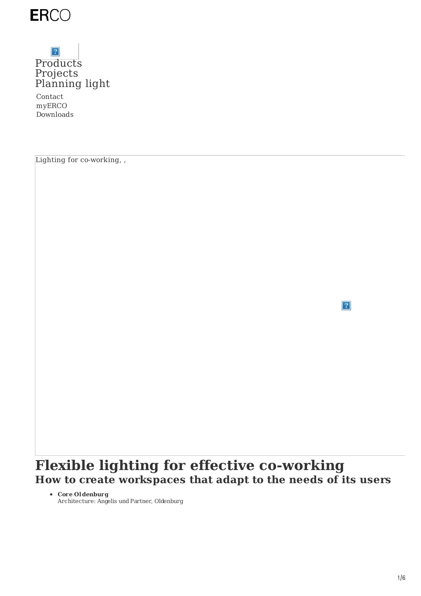

### $\boldsymbol{2}$ [Products](https://www.erco.com/en/products/products-7293/) [Projects](https://www.erco.com/en/projects/projects-7292/) [Planning](https://www.erco.com/en/designing-with-light/designing-with-light-7294/) light

Contact myERCO Downloads

Lighting for co-working, ,

 $|2|$ 

## **Flexible lighting for effective co-working How to create workspaces that adapt to the needs of its users**

**Core Oldenburg**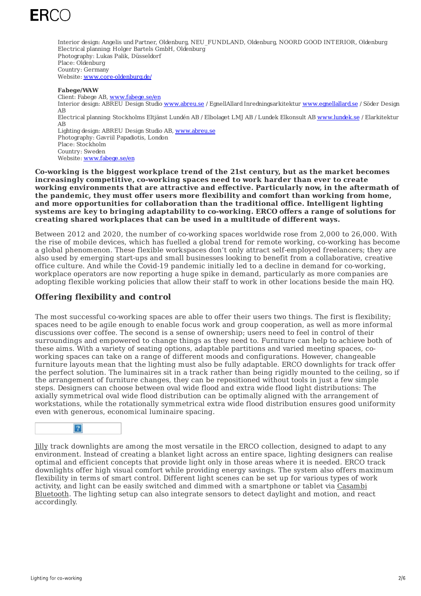

Interior design: Angelis undPartner, Oldenburg, NEU\_FUNDLAND, Oldenburg, NOORD GOOD INTERIOR, Oldenburg Electrical planning: Holger Bartels GmbH, Oldenburg Photography: Lukas Palik, Düsseldorf Place: Oldenburg Country: Germany Website: [www.core-oldenburg.de/](https://www.core-oldenburg.de/)

#### **Fabege/WAW**

Client: Fabege AB, [www.fabege.se/en](https://www.fabege.se/en) Interior design: ABREU Design Studio [www.abreu.se](https://www.abreu.se/) / EgnellAllard Inredningsarkitektur [www.egnellallard.se](https://www.egnellallard.se/) / Söder Design AB Electrical planning: Stockholms Eltjänst Lundén AB / Elbolaget LMJ AB / Lundek Elkonsult AB [www.lundek.se](https://www.lundek.se/) / Elarkitektur AB Lighting design: ABREU Design Studio AB, [www.abreu.se](https://www.abreu.se/) Photography: Gavriil Papadiotis, London Place: Stockholm Country: Sweden Website: [www.fabege.se/en](https://www.fabege.se/en)

**Co-working is the biggest workplace trend of the 21st century, but as the market becomes increasingly competitive, co-working spaces need to work harder than ever to create working environments that are attractive and effective. Particularly now, in the aftermath of the pandemic, they must offer users more flexibility and comfort than working from home, and more opportunities for collaboration than the traditional office. Intelligent lighting systems are key to bringing adaptability to co-working. ERCO offers a range of solutions for creating shared workplaces that can be used in a multitude of different ways.**

Between 2012 and 2020, the number of co-working spaces worldwide rose from 2,000 to 26,000. With the rise of mobile devices, which has fuelled a global trend for remote working, co-working has become a global phenomenon. These flexible workspaces don't only attract self-employed freelancers; they are also used by emerging start-ups and small businesses looking to benefit from a collaborative, creative office culture. And while the Covid-19 pandemic initially led to a decline in demand for co-working, workplace operators are now reporting a huge spike in demand, particularly as more companies are adopting flexible working policies that allow their staff to work in other locations beside the main HQ.

#### **Offering flexibility and control**

The most successful co-working spaces are able to offer their users two things. The first is flexibility; spaces need to be agile enough to enable focus work and group cooperation, as well as more informal discussions over coffee. The second is a sense of ownership; users need to feel in control of their surroundings and empowered to change things as they need to. Furniture can help to achieve both of these aims. With a variety of seating options, adaptable partitions and varied meeting spaces, coworking spaces can take on a range of different moods and configurations. However, changeable furniture layouts mean that the lighting must also be fully adaptable. ERCO downlights for track offer the perfect solution. The luminaires sit in a track rather than being rigidly mounted to the ceiling, so if the arrangement of furniture changes, they can be repositioned without tools in just a few simple steps. Designers can choose between oval wide flood and extra wide flood light distributions: The axially symmetrical oval wide flood distribution can be optimally aligned with the arrangement of workstations, while the rotationally symmetrical extra wide flood distribution ensures good uniformity even with generous, economical luminaire spacing.



[Jilly](https://www.erco.com/en/products/indoor/luminaires-for-track/jilly-6915/) track downlights are among the most versatile in the ERCO collection, designed to adapt to any environment. Instead of creating a blanket light across an entire space, lighting designers can realise optimal and efficient concepts that provide light only in those areas where it is needed. ERCO track downlights offer high visual comfort while providing energy savings. The system also offers maximum flexibility in terms of smart control. Different light scenes can be set up for various types of work activity, and light can be easily switched and dimmed with a [smartphone](https://www.erco.com/en/service/wireless-control-of-erco-luminaires-with-casambi-bluetooth-6998/) or tablet via Casambi Bluetooth. The lighting setup can also integrate sensors to detect daylight and motion, and react accordingly.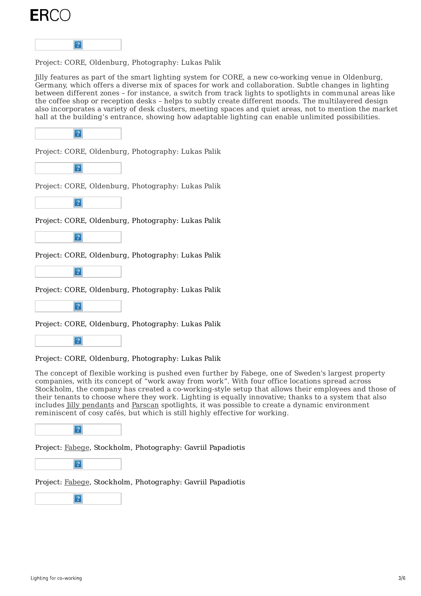



Project: CORE, Oldenburg, Photography: Lukas Palik

Jilly features as part of the smart lighting system for CORE, a new co-working venue in Oldenburg, Germany, which offers a diverse mix of spaces for work and collaboration. Subtle changes in lighting between different zones – for instance, a switch from track lights to spotlights in communal areas like the coffee shop or reception desks – helps to subtly create different moods. The multilayered design also incorporates a variety of desk clusters, meeting spaces and quiet areas, not to mention the market hall at the building's entrance, showing how adaptable lighting can enable unlimited possibilities.



Project: CORE, Oldenburg, Photography: Lukas Palik



Project: CORE, Oldenburg, Photography: Lukas Palik



Project: CORE, Oldenburg, Photography: Lukas Palik



Project: CORE, Oldenburg, Photography: Lukas Palik



Project: CORE, Oldenburg, Photography: Lukas Palik



Project: CORE, Oldenburg, Photography: Lukas Palik



Project: CORE, Oldenburg, Photography: Lukas Palik

The concept of flexible working is pushed even further by Fabege, one of Sweden's largest property companies, with its concept of "work away from work". With four office locations spread across Stockholm, the company has created a co-working-style setup that allows their employees and those of their tenants to choose where they work. Lighting is equally innovative; thanks to a system that also includes Jilly [pendants](https://www.erco.com/en/products/indoor/pendant-luminaires/jilly-linear-6914/) and [Parscan](https://www.erco.com/en/products/indoor/luminaires-for-track/parscan-1473/) spotlights, it was possible to create a dynamic environment reminiscent of cosy cafés, but which is still highly effective for working.



Project: [Fabege](https://www.erco.com/en/projects/work/fabege-work-away-from-work-7045/), Stockholm, Photography: Gavriil Papadiotis



Project: [Fabege](https://www.erco.com/en/projects/work/fabege-work-away-from-work-7045/), Stockholm, Photography: Gavriil Papadiotis

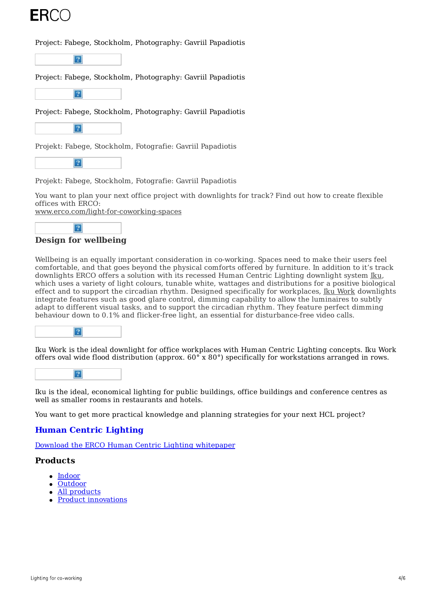

#### Project: Fabege, Stockholm, Photography: Gavriil Papadiotis



Project: Fabege, Stockholm, Photography: Gavriil Papadiotis



Project: Fabege, Stockholm, Photography: Gavriil Papadiotis



Projekt: Fabege, Stockholm, Fotografie: Gavriil Papadiotis



Projekt: Fabege, Stockholm, Fotografie: Gavriil Papadiotis

You want to plan your next office project with downlights for track? Find out how to create flexible offices with ERCO:

[www.erco.com/light-for-coworking-spaces](https://www.erco.com/light-for-coworking-spaces)



#### **Design for wellbeing**

Wellbeing is an equally important consideration in co-working. Spaces need to make their users feel comfortable, and that goes beyond the physical comforts offered by furniture. In addition to it's track downlights ERCO offers a solution with its recessed Human Centric Lighting downlight system [Iku](https://www.erco.com/en/service/microsites/products/erco-human-centric-lighting-with-iku-7306/), which uses a variety of light colours, tunable white, wattages and distributions for a positive biological effect and to support the circadian rhythm. Designed specifically for workplaces, Iku [Work](https://www.erco.com/en/products/indoor/recessed-luminaires/iku-work-7312/) downlights integrate features such as good glare control, dimming capability to allow the luminaires to subtly adapt to different visual tasks, and to support the circadian rhythm. They feature perfect dimming behaviour down to 0.1% and flicker-free light, an essential for disturbance-free video calls.



Iku Work is the ideal downlight for office workplaces with Human Centric Lighting concepts. Iku Work offers oval wide flood distribution (approx. 60° x 80°) specifically for workstations arranged in rows.



Iku is the ideal, economical lighting for public buildings, office buildings and conference centres as well as smaller rooms in restaurants and hotels.

You want to get more practical knowledge and planning strategies for your next HCL project?

#### **Human Centric [Lighting](https://www.erco.com/download/content/3-media/hcl-whitepaper/erco-whitepaper-hcl-08-2021-de.pdf)**

Download the ERCO Human Centric Lighting whitepaper

#### **Products**

- $\bullet$  [Indoor](https://www.erco.com/en/products/indoor/overview-5760/)
- [Outdoor](https://www.erco.com/en/products/outdoor/overview-5764/)
- All [products](https://www.erco.com/en/products/products-6202/)
- Product [innovations](https://www.erco.com/en/projects/focus/products/new-products-2022-1-7358/)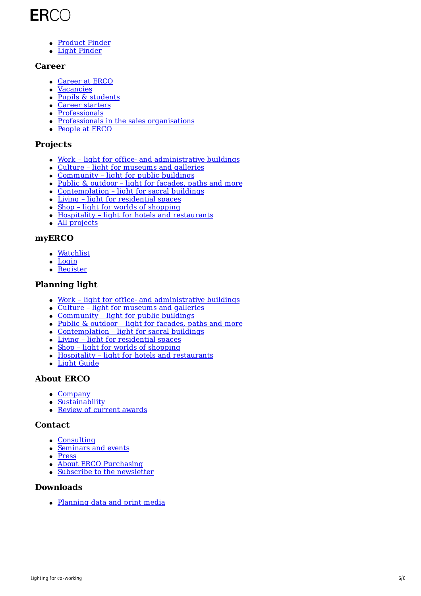# ERCO

- [Product](https://www.erco.com/en/products/product-finder-7093/) Finder
- Light [Finder](https://www.erco.com/en/products/light-finder-7133/)

#### **Career**

- [Career](https://www.erco.com/en/career/career-at-erco-7019/) at ERCO
- [Vacancies](https://www.erco.com/en/career/vacancies-7032/)
- Pupils & [students](https://www.erco.com/en/career/pupils-students/vocational-training-and-dual-studies-7020/)
- Career [starters](https://www.erco.com/en/career/career-at-erco/career-starters-7016/)
- [Professionals](https://www.erco.com/en/career/career-at-erco/professionals-7017/)
- Professionals in the sales [organisations](https://www.erco.com/en/career/career-at-erco/professionals-in-the-sales-organisations-7018/)
- [People](https://www.erco.com/en/career/people-at-erco-7021/) at ERCO

#### **Projects**

- Work light for office- and [administrative](https://www.erco.com/en/projects/projects-6200/?filter=work) buildings
- Culture light for [museums](https://www.erco.com/en/projects/projects-6200/?filter=culture) and galleries
- [Community](https://www.erco.com/en/projects/projects-6200/?filter=community) light for public buildings
- Public & outdoor light for [facades,](https://www.erco.com/en/projects/projects-6200/?filter=public) paths and more
- [Contemplation](https://www.erco.com/en/projects/projects-6200/?filter=contemplation) light for sacral buildings
- Living light for [residential](https://www.erco.com/en/projects/projects-6200/?filter=living) spaces
- Shop light for worlds of [shopping](https://www.erco.com/en/projects/projects-6200/?filter=shop)
- Hospitality light for hotels and [restaurants](https://www.erco.com/en/projects/projects-6200/?filter=hospitality)
- All [projects](https://www.erco.com/en/projects/projects-6200/)

#### **myERCO**

- [Watchlist](https://lightfinder.erco.com/myerco/en)
- [Login](https://lightfinder.erco.com/myerco/auth/form_login/en)
- [Register](https://lightfinder.erco.com/myerco/auth/create_user/en)

#### **Planning light**

- Work light for office- and [administrative](https://www.erco.com/en/designing-with-light/work/work-6443/) buildings
- Culture light for [museums](https://www.erco.com/en/designing-with-light/culture/culture-6493/) and galleries
- [Community](https://www.erco.com/en/designing-with-light/community/community-6661/) light for public buildings
- Public & outdoor light for [facades,](https://www.erco.com/en/projects/public/light-for-outdoors-7262/) paths and more
- [Contemplation](https://www.erco.com/en/projects/contemplation/contemplation-5956/) light for sacral buildings
- Living light for [residential](https://www.erco.com/en/projects/living/living-5778/) spaces
- Shop light for worlds of [shopping](https://www.erco.com/en/designing-with-light/shop/shop-6532/)
- Hospitality light for hotels and [restaurants](https://www.erco.com/en/projects/hospitality/hospitality-5780/)
- Light [Guide](https://www.erco.com/en/guide/guide-6188/)

#### **About ERCO**

- [Company](https://www.erco.com/en/company/light-factory/about-erco-6017/)
- [Sustainability](https://www.erco.com/en/service/supplier/sustainability-7152/)
- Review of [current](https://www.erco.com/en/projects/focus/background/review-of-current-awards-6182/) awards

#### **Contact**

- [Consulting](https://www.erco.com/en/contact/sales-2827/)
- [Seminars](https://www.erco.com/en/seminars/lighting-seminars-3162/) and events
- [Press](https://press.erco.com/en/)
- About ERCO [Purchasing](https://www.erco.com/en/service/supplier/about-erco-purchasing-7148/)
- Subscribe to the [newsletter](https://www.erco.com/en/service/newsletter-5931/)

#### **Downloads**

[Planning](https://download.erco.com/en/) data and print media